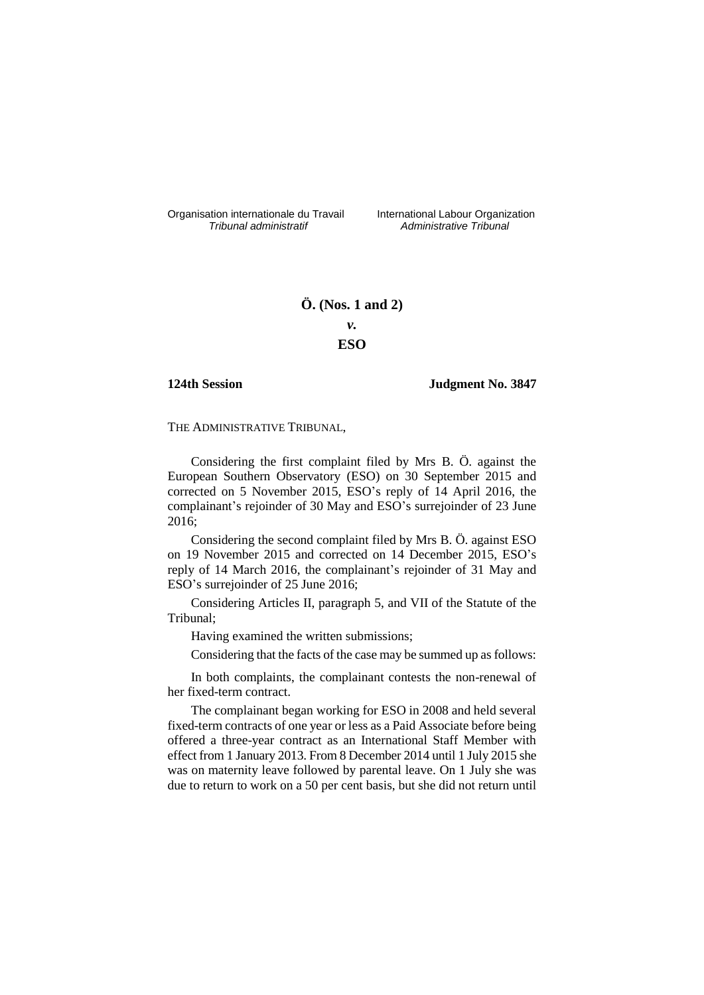Organisation internationale du Travail International Labour Organization<br>*Tribunal administratif Administrative Tribunal* 

# *Tribunal administratif Administrative Tribunal*

## **Ö. (Nos. 1 and 2)** *v.*

## **ESO**

## **124th Session Judgment No. 3847**

THE ADMINISTRATIVE TRIBUNAL,

Considering the first complaint filed by Mrs B. Ö. against the European Southern Observatory (ESO) on 30 September 2015 and corrected on 5 November 2015, ESO's reply of 14 April 2016, the complainant's rejoinder of 30 May and ESO's surrejoinder of 23 June 2016;

Considering the second complaint filed by Mrs B. Ö. against ESO on 19 November 2015 and corrected on 14 December 2015, ESO's reply of 14 March 2016, the complainant's rejoinder of 31 May and ESO's surrejoinder of 25 June 2016;

Considering Articles II, paragraph 5, and VII of the Statute of the Tribunal;

Having examined the written submissions;

Considering that the facts of the case may be summed up as follows:

In both complaints, the complainant contests the non-renewal of her fixed-term contract.

The complainant began working for ESO in 2008 and held several fixed-term contracts of one year or less as a Paid Associate before being offered a three-year contract as an International Staff Member with effect from 1 January 2013. From 8 December 2014 until 1 July 2015 she was on maternity leave followed by parental leave. On 1 July she was due to return to work on a 50 per cent basis, but she did not return until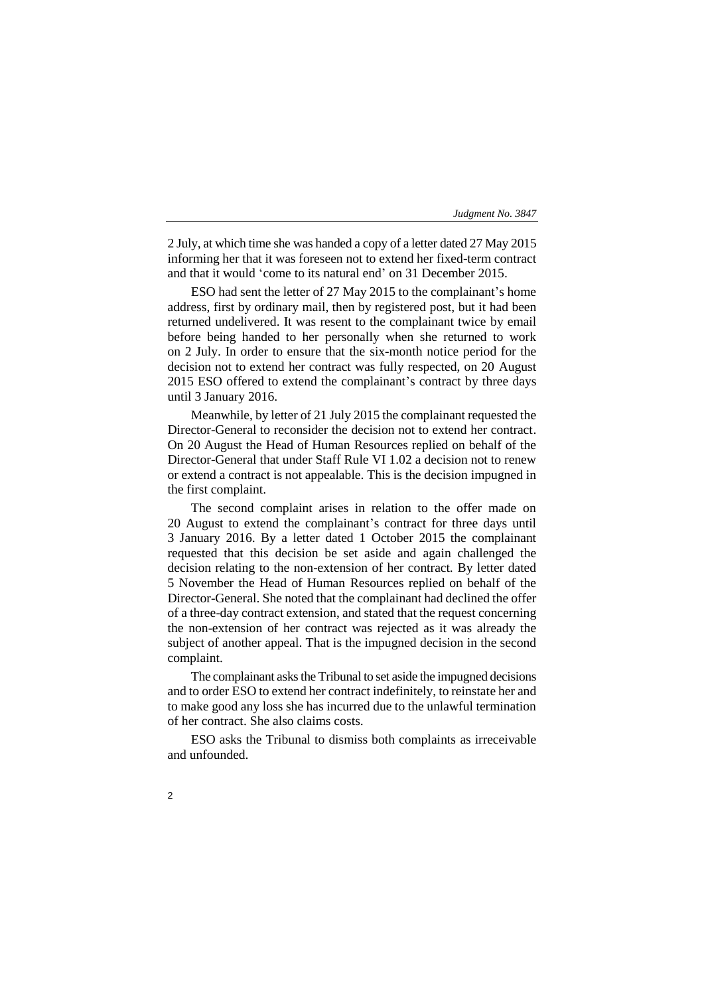2 July, at which time she was handed a copy of a letter dated 27 May 2015 informing her that it was foreseen not to extend her fixed-term contract and that it would 'come to its natural end' on 31 December 2015.

ESO had sent the letter of 27 May 2015 to the complainant's home address, first by ordinary mail, then by registered post, but it had been returned undelivered. It was resent to the complainant twice by email before being handed to her personally when she returned to work on 2 July. In order to ensure that the six-month notice period for the decision not to extend her contract was fully respected, on 20 August 2015 ESO offered to extend the complainant's contract by three days until 3 January 2016.

Meanwhile, by letter of 21 July 2015 the complainant requested the Director-General to reconsider the decision not to extend her contract. On 20 August the Head of Human Resources replied on behalf of the Director-General that under Staff Rule VI 1.02 a decision not to renew or extend a contract is not appealable. This is the decision impugned in the first complaint.

The second complaint arises in relation to the offer made on 20 August to extend the complainant's contract for three days until 3 January 2016. By a letter dated 1 October 2015 the complainant requested that this decision be set aside and again challenged the decision relating to the non-extension of her contract. By letter dated 5 November the Head of Human Resources replied on behalf of the Director-General. She noted that the complainant had declined the offer of a three-day contract extension, and stated that the request concerning the non-extension of her contract was rejected as it was already the subject of another appeal. That is the impugned decision in the second complaint.

The complainant asks the Tribunal to set aside the impugned decisions and to order ESO to extend her contract indefinitely, to reinstate her and to make good any loss she has incurred due to the unlawful termination of her contract. She also claims costs.

ESO asks the Tribunal to dismiss both complaints as irreceivable and unfounded.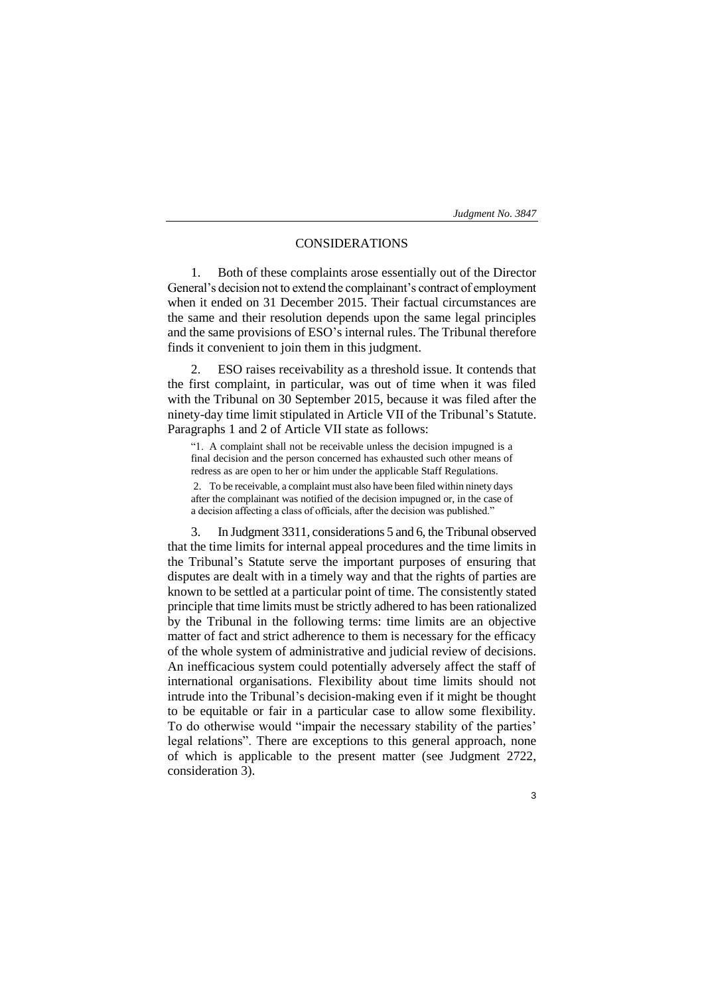3

## CONSIDERATIONS

1. Both of these complaints arose essentially out of the Director General's decision not to extend the complainant's contract of employment when it ended on 31 December 2015. Their factual circumstances are the same and their resolution depends upon the same legal principles and the same provisions of ESO's internal rules. The Tribunal therefore finds it convenient to join them in this judgment.

2. ESO raises receivability as a threshold issue. It contends that the first complaint, in particular, was out of time when it was filed with the Tribunal on 30 September 2015, because it was filed after the ninety-day time limit stipulated in Article VII of the Tribunal's Statute. Paragraphs 1 and 2 of Article VII state as follows:

"1. A complaint shall not be receivable unless the decision impugned is a final decision and the person concerned has exhausted such other means of redress as are open to her or him under the applicable Staff Regulations.

2. To be receivable, a complaint must also have been filed within ninety days after the complainant was notified of the decision impugned or, in the case of a decision affecting a class of officials, after the decision was published."

3. In Judgment 3311, considerations 5 and 6, the Tribunal observed that the time limits for internal appeal procedures and the time limits in the Tribunal's Statute serve the important purposes of ensuring that disputes are dealt with in a timely way and that the rights of parties are known to be settled at a particular point of time. The consistently stated principle that time limits must be strictly adhered to has been rationalized by the Tribunal in the following terms: time limits are an objective matter of fact and strict adherence to them is necessary for the efficacy of the whole system of administrative and judicial review of decisions. An inefficacious system could potentially adversely affect the staff of international organisations. Flexibility about time limits should not intrude into the Tribunal's decision-making even if it might be thought to be equitable or fair in a particular case to allow some flexibility. To do otherwise would "impair the necessary stability of the parties' legal relations". There are exceptions to this general approach, none of which is applicable to the present matter (see Judgment 2722, consideration 3).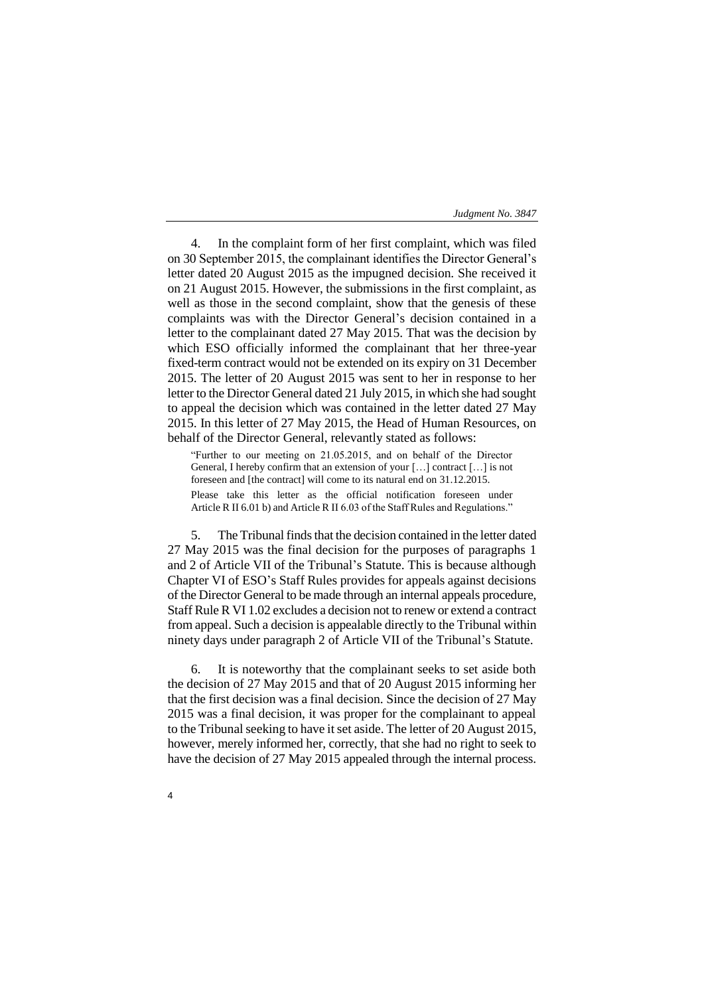4. In the complaint form of her first complaint, which was filed on 30 September 2015, the complainant identifies the Director General's letter dated 20 August 2015 as the impugned decision. She received it on 21 August 2015. However, the submissions in the first complaint, as well as those in the second complaint, show that the genesis of these complaints was with the Director General's decision contained in a letter to the complainant dated 27 May 2015. That was the decision by which ESO officially informed the complainant that her three-year fixed-term contract would not be extended on its expiry on 31 December 2015. The letter of 20 August 2015 was sent to her in response to her letter to the Director General dated 21 July 2015, in which she had sought to appeal the decision which was contained in the letter dated 27 May 2015. In this letter of 27 May 2015, the Head of Human Resources, on behalf of the Director General, relevantly stated as follows:

"Further to our meeting on 21.05.2015, and on behalf of the Director General, I hereby confirm that an extension of your […] contract […] is not foreseen and [the contract] will come to its natural end on 31.12.2015. Please take this letter as the official notification foreseen under Article R II 6.01 b) and Article R II 6.03 of the Staff Rules and Regulations."

5. The Tribunal finds that the decision contained in the letter dated 27 May 2015 was the final decision for the purposes of paragraphs 1 and 2 of Article VII of the Tribunal's Statute. This is because although Chapter VI of ESO's Staff Rules provides for appeals against decisions of the Director General to be made through an internal appeals procedure, Staff Rule R VI 1.02 excludes a decision not to renew or extend a contract from appeal. Such a decision is appealable directly to the Tribunal within ninety days under paragraph 2 of Article VII of the Tribunal's Statute.

6. It is noteworthy that the complainant seeks to set aside both the decision of 27 May 2015 and that of 20 August 2015 informing her that the first decision was a final decision. Since the decision of 27 May 2015 was a final decision, it was proper for the complainant to appeal to the Tribunal seeking to have it set aside. The letter of 20 August 2015, however, merely informed her, correctly, that she had no right to seek to have the decision of 27 May 2015 appealed through the internal process.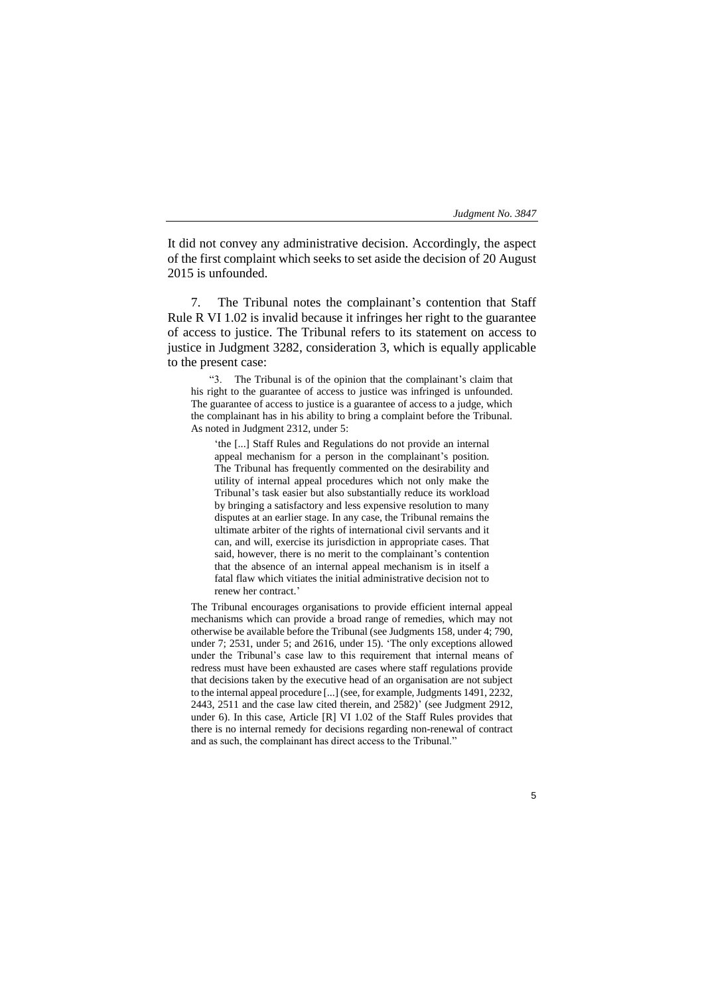It did not convey any administrative decision. Accordingly, the aspect of the first complaint which seeks to set aside the decision of 20 August 2015 is unfounded.

7. The Tribunal notes the complainant's contention that Staff Rule R VI 1.02 is invalid because it infringes her right to the guarantee of access to justice. The Tribunal refers to its statement on access to justice in Judgment 3282, consideration 3, which is equally applicable to the present case:

"3. The Tribunal is of the opinion that the complainant's claim that his right to the guarantee of access to justice was infringed is unfounded. The guarantee of access to justice is a guarantee of access to a judge, which the complainant has in his ability to bring a complaint before the Tribunal. As noted in Judgment 2312, under 5:

'the [...] Staff Rules and Regulations do not provide an internal appeal mechanism for a person in the complainant's position. The Tribunal has frequently commented on the desirability and utility of internal appeal procedures which not only make the Tribunal's task easier but also substantially reduce its workload by bringing a satisfactory and less expensive resolution to many disputes at an earlier stage. In any case, the Tribunal remains the ultimate arbiter of the rights of international civil servants and it can, and will, exercise its jurisdiction in appropriate cases. That said, however, there is no merit to the complainant's contention that the absence of an internal appeal mechanism is in itself a fatal flaw which vitiates the initial administrative decision not to renew her contract.'

The Tribunal encourages organisations to provide efficient internal appeal mechanisms which can provide a broad range of remedies, which may not otherwise be available before the Tribunal (see Judgments 158, under 4; 790, under 7; 2531, under 5; and 2616, under 15). 'The only exceptions allowed under the Tribunal's case law to this requirement that internal means of redress must have been exhausted are cases where staff regulations provide that decisions taken by the executive head of an organisation are not subject to the internal appeal procedure [...] (see, for example, Judgments 1491, 2232, 2443, 2511 and the case law cited therein, and 2582)' (see Judgment 2912, under 6). In this case, Article [R] VI 1.02 of the Staff Rules provides that there is no internal remedy for decisions regarding non-renewal of contract and as such, the complainant has direct access to the Tribunal."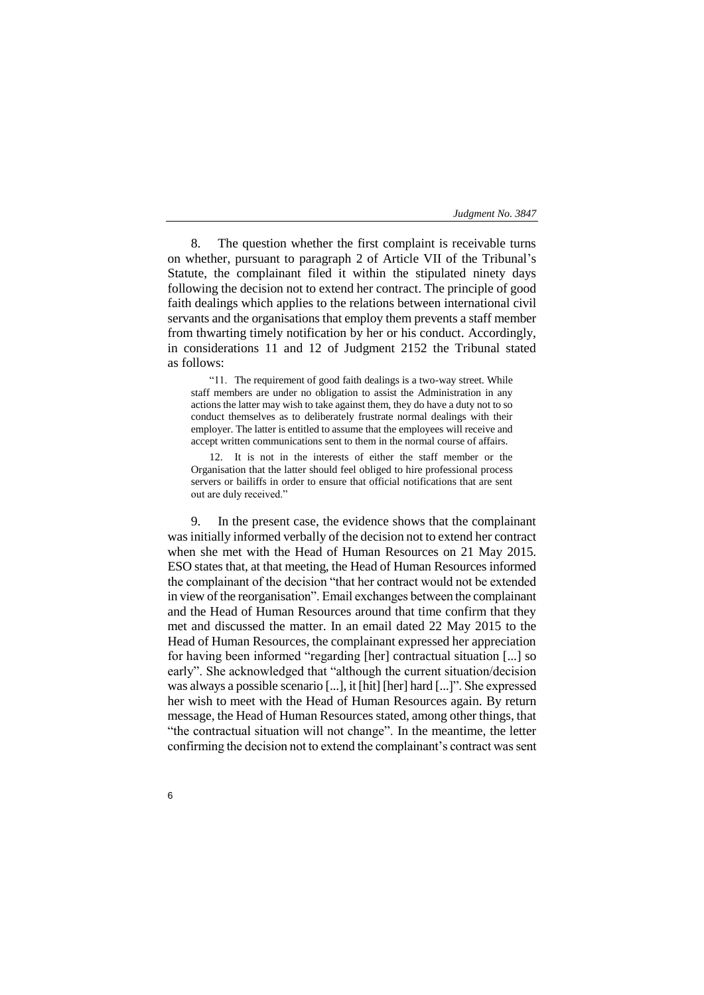8. The question whether the first complaint is receivable turns on whether, pursuant to paragraph 2 of Article VII of the Tribunal's Statute, the complainant filed it within the stipulated ninety days following the decision not to extend her contract. The principle of good faith dealings which applies to the relations between international civil servants and the organisations that employ them prevents a staff member from thwarting timely notification by her or his conduct. Accordingly, in considerations 11 and 12 of Judgment 2152 the Tribunal stated as follows:

"11. The requirement of good faith dealings is a two-way street. While staff members are under no obligation to assist the Administration in any actions the latter may wish to take against them, they do have a duty not to so conduct themselves as to deliberately frustrate normal dealings with their employer. The latter is entitled to assume that the employees will receive and accept written communications sent to them in the normal course of affairs.

12. It is not in the interests of either the staff member or the Organisation that the latter should feel obliged to hire professional process servers or bailiffs in order to ensure that official notifications that are sent out are duly received."

9. In the present case, the evidence shows that the complainant was initially informed verbally of the decision not to extend her contract when she met with the Head of Human Resources on 21 May 2015. ESO states that, at that meeting, the Head of Human Resources informed the complainant of the decision "that her contract would not be extended in view of the reorganisation". Email exchanges between the complainant and the Head of Human Resources around that time confirm that they met and discussed the matter. In an email dated 22 May 2015 to the Head of Human Resources, the complainant expressed her appreciation for having been informed "regarding [her] contractual situation [...] so early". She acknowledged that "although the current situation/decision was always a possible scenario [...], it [hit] [her] hard [...]". She expressed her wish to meet with the Head of Human Resources again. By return message, the Head of Human Resources stated, among other things, that "the contractual situation will not change". In the meantime, the letter confirming the decision not to extend the complainant's contract was sent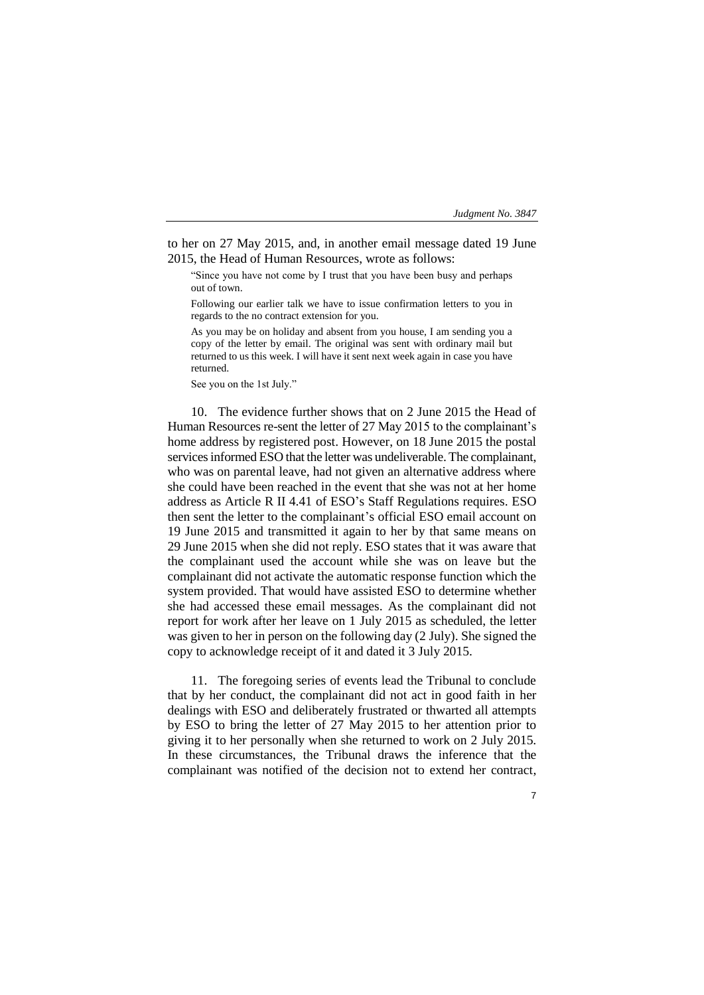7

to her on 27 May 2015, and, in another email message dated 19 June 2015, the Head of Human Resources, wrote as follows:

"Since you have not come by I trust that you have been busy and perhaps out of town.

Following our earlier talk we have to issue confirmation letters to you in regards to the no contract extension for you.

As you may be on holiday and absent from you house, I am sending you a copy of the letter by email. The original was sent with ordinary mail but returned to us this week. I will have it sent next week again in case you have returned.

See you on the 1st July."

10. The evidence further shows that on 2 June 2015 the Head of Human Resources re-sent the letter of 27 May 2015 to the complainant's home address by registered post. However, on 18 June 2015 the postal services informed ESO that the letter was undeliverable. The complainant, who was on parental leave, had not given an alternative address where she could have been reached in the event that she was not at her home address as Article R II 4.41 of ESO's Staff Regulations requires. ESO then sent the letter to the complainant's official ESO email account on 19 June 2015 and transmitted it again to her by that same means on 29 June 2015 when she did not reply. ESO states that it was aware that the complainant used the account while she was on leave but the complainant did not activate the automatic response function which the system provided. That would have assisted ESO to determine whether she had accessed these email messages. As the complainant did not report for work after her leave on 1 July 2015 as scheduled, the letter was given to her in person on the following day (2 July). She signed the copy to acknowledge receipt of it and dated it 3 July 2015.

11. The foregoing series of events lead the Tribunal to conclude that by her conduct, the complainant did not act in good faith in her dealings with ESO and deliberately frustrated or thwarted all attempts by ESO to bring the letter of 27 May 2015 to her attention prior to giving it to her personally when she returned to work on 2 July 2015. In these circumstances, the Tribunal draws the inference that the complainant was notified of the decision not to extend her contract,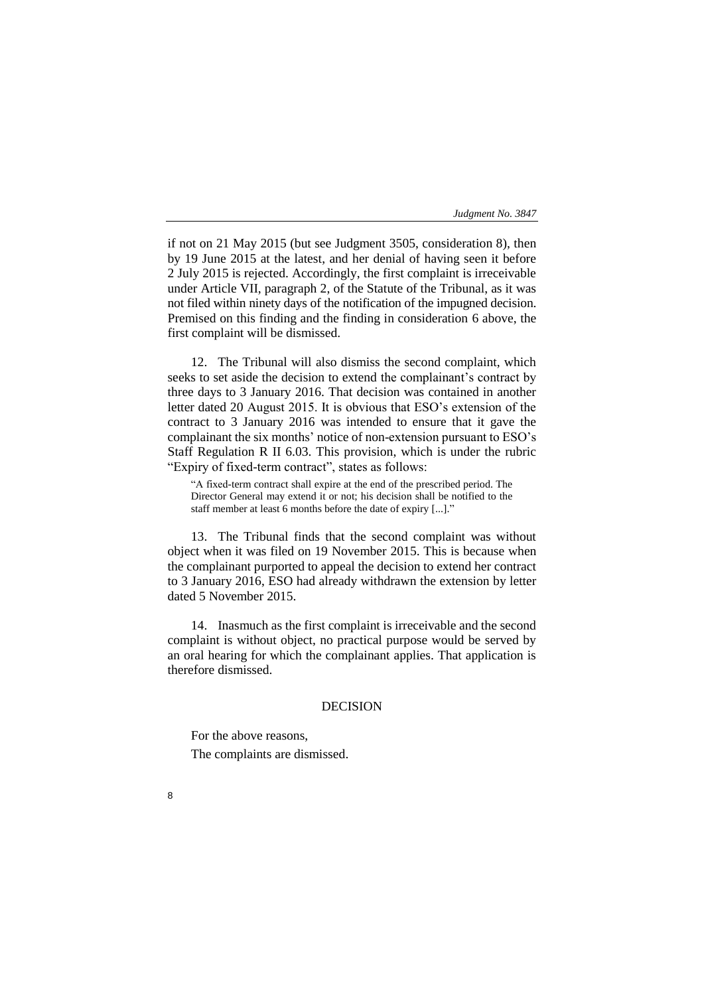if not on 21 May 2015 (but see Judgment 3505, consideration 8), then by 19 June 2015 at the latest, and her denial of having seen it before 2 July 2015 is rejected. Accordingly, the first complaint is irreceivable under Article VII, paragraph 2, of the Statute of the Tribunal, as it was not filed within ninety days of the notification of the impugned decision. Premised on this finding and the finding in consideration 6 above, the first complaint will be dismissed.

12. The Tribunal will also dismiss the second complaint, which seeks to set aside the decision to extend the complainant's contract by three days to 3 January 2016. That decision was contained in another letter dated 20 August 2015. It is obvious that ESO's extension of the contract to 3 January 2016 was intended to ensure that it gave the complainant the six months' notice of non-extension pursuant to ESO's Staff Regulation R II 6.03. This provision, which is under the rubric "Expiry of fixed-term contract", states as follows:

"A fixed-term contract shall expire at the end of the prescribed period. The Director General may extend it or not; his decision shall be notified to the staff member at least 6 months before the date of expiry [...]."

13. The Tribunal finds that the second complaint was without object when it was filed on 19 November 2015. This is because when the complainant purported to appeal the decision to extend her contract to 3 January 2016, ESO had already withdrawn the extension by letter dated 5 November 2015.

14. Inasmuch as the first complaint is irreceivable and the second complaint is without object, no practical purpose would be served by an oral hearing for which the complainant applies. That application is therefore dismissed.

## DECISION

For the above reasons, The complaints are dismissed.